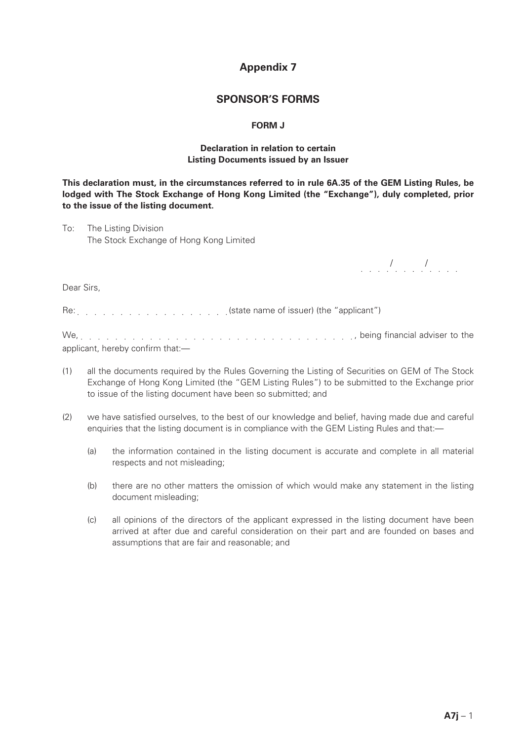# **Appendix 7**

## **SPONSOR'S FORMS**

#### **FORM J**

#### **Declaration in relation to certain Listing Documents issued by an Issuer**

**This declaration must, in the circumstances referred to in rule 6A.35 of the GEM Listing Rules, be lodged with The Stock Exchange of Hong Kong Limited (the "Exchange"), duly completed, prior to the issue of the listing document.**

To: The Listing Division The Stock Exchange of Hong Kong Limited

*. . . . . . . . . . . .* 

Dear Sirs,

Re: etterchangled in the "applicant") (state name of issuer) (the "applicant")

We, , being financial adviser to the applicant, hereby confirm that:—

- (1) all the documents required by the Rules Governing the Listing of Securities on GEM of The Stock Exchange of Hong Kong Limited (the "GEM Listing Rules") to be submitted to the Exchange prior to issue of the listing document have been so submitted; and
- (2) we have satisfied ourselves, to the best of our knowledge and belief, having made due and careful enquiries that the listing document is in compliance with the GEM Listing Rules and that:—
	- (a) the information contained in the listing document is accurate and complete in all material respects and not misleading;
	- (b) there are no other matters the omission of which would make any statement in the listing document misleading;
	- (c) all opinions of the directors of the applicant expressed in the listing document have been arrived at after due and careful consideration on their part and are founded on bases and assumptions that are fair and reasonable; and